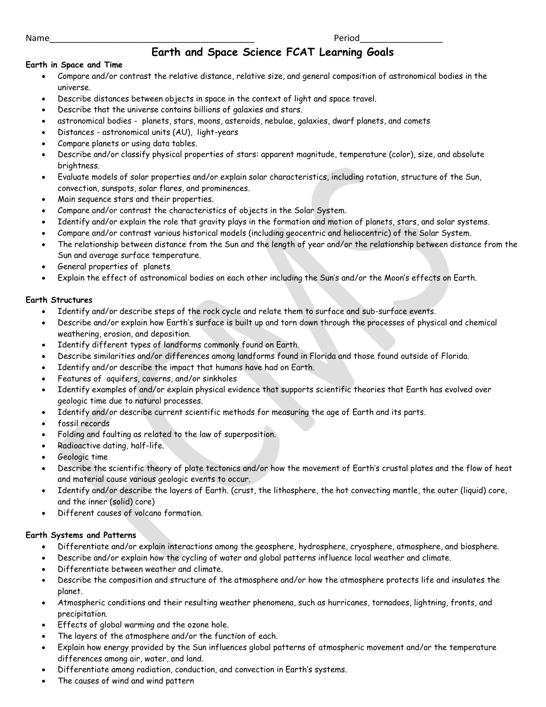Name\_\_\_\_\_\_\_\_\_\_\_\_\_\_\_\_\_\_\_\_\_\_\_\_\_\_\_\_\_\_\_\_\_\_\_\_\_\_\_\_\_\_ Period\_\_\_\_\_\_\_\_\_\_\_\_\_\_\_\_\_

# **Earth and Space Science FCAT Learning Goals**

## **Earth in Space and Time**

- Compare and/or contrast the relative distance, relative size, and general composition of astronomical bodies in the universe.
- Describe distances between objects in space in the context of light and space travel.
- Describe that the universe contains billions of galaxies and stars.
- astronomical bodies planets, stars, moons, asteroids, nebulae, galaxies, dwarf planets, and comets
- Distances astronomical units (AU), light-years
- Compare planets or using data tables.
- Describe and/or classify physical properties of stars: apparent magnitude, temperature (color), size, and absolute brightness.
- Evaluate models of solar properties and/or explain solar characteristics, including rotation, structure of the Sun, convection, sunspots, solar flares, and prominences.
- Main sequence stars and their properties.
- Compare and/or contrast the characteristics of objects in the Solar System.
- Identify and/or explain the role that gravity plays in the formation and motion of planets, stars, and solar systems.
- Compare and/or contrast various historical models (including geocentric and heliocentric) of the Solar System.
- The relationship between distance from the Sun and the length of year and/or the relationship between distance from the Sun and average surface temperature.
- General properties of planets
- Explain the effect of astronomical bodies on each other including the Sun's and/or the Moon's effects on Earth.

## **Earth Structures**

- Identify and/or describe steps of the rock cycle and relate them to surface and sub-surface events.
- Describe and/or explain how Earth's surface is built up and torn down through the processes of physical and chemical weathering, erosion, and deposition.
- Identify different types of landforms commonly found on Earth.
- Describe similarities and/or differences among landforms found in Florida and those found outside of Florida.
- Identify and/or describe the impact that humans have had on Earth.
- Features of aquifers, caverns, and/or sinkholes
- Identify examples of and/or explain physical evidence that supports scientific theories that Earth has evolved over geologic time due to natural processes.
- Identify and/or describe current scientific methods for measuring the age of Earth and its parts.
- fossil records
- Folding and faulting as related to the law of superposition.
- Radioactive dating, half-life.
- Geologic time
- Describe the scientific theory of plate tectonics and/or how the movement of Earth's crustal plates and the flow of heat and material cause various geologic events to occur.
- Identify and/or describe the layers of Earth. (crust, the lithosphere, the hot convecting mantle, the outer (liquid) core, and the inner (solid) core)
- Different causes of volcano formation.

## **Earth Systems and Patterns**

- Differentiate and/or explain interactions among the geosphere, hydrosphere, cryosphere, atmosphere, and biosphere.
- Describe and/or explain how the cycling of water and global patterns influence local weather and climate.
- Differentiate between weather and climate.
- Describe the composition and structure of the atmosphere and/or how the atmosphere protects life and insulates the planet.
- Atmospheric conditions and their resulting weather phenomena, such as hurricanes, tornadoes, lightning, fronts, and precipitation.
- Effects of global warming and the ozone hole.
- The layers of the atmosphere and/or the function of each.
- Explain how energy provided by the Sun influences global patterns of atmospheric movement and/or the temperature differences among air, water, and land.
- Differentiate among radiation, conduction, and convection in Earth's systems.
- The causes of wind and wind pattern